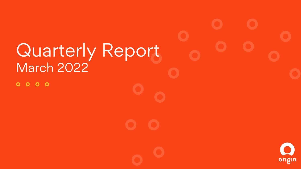# Quarterly Report March 2022 $0000$ origin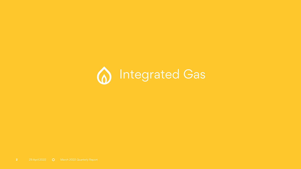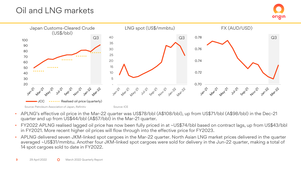## Oil and LNG markets



- APLNG's effective oil price in the Mar-22 quarter was US\$78/bbl (A\$108/bbl), up from US\$71/bbl (A\$98/bbl) in the Dec-21 quarter and up from US\$44/bbl (A\$57/bbl) in the Mar-21 quarter.
- FY2022 APLNG realised lagged oil price has now been fully priced in at ~US\$74/bbl based on contract lags, up from US\$43/bbl in FY2021. More recent higher oil prices will flow through into the effective price for FY2023.
- APLNG delivered seven JKM-linked spot cargoes in the Mar-22 quarter. North Asian LNG market prices delivered in the quarter averaged ~US\$31/mmbtu. Another four JKM-linked spot cargoes were sold for delivery in the Jun-22 quarter, making a total of 14 spot cargoes sold to date in FY2022.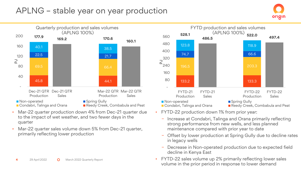### APLNG – stable year on year production



- Mar-22 quarter production down 4% from Dec-21 quarter due to the impact of wet weather, and two fewer days in the quarter
- Mar-22 quarter sales volume down 5% from Dec-21 quarter, primarily reflecting lower production



- FYTD-22 production down 1% from prior year:
	- − Increase at Condabri, Talinga and Orana primarily reflecting strong performance from new wells, and less planned maintenance compared with prior year to date
	- − Offset by lower production at Spring Gully due to decline rates in legacy wells
- − Decrease in Non-operated production due to expected field decline in Kenya East
- FYTD-22 sales volume up 2% primarily reflecting lower sales volume in the prior period in response to lower demand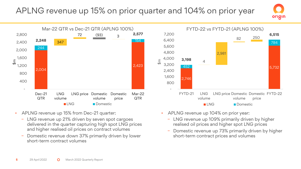## APLNG revenue up 15% on prior quarter and 104% on prior year



- APLNG revenue up 15% from Dec-21 quarter:
	- − LNG revenue up 21% driven by seven spot cargoes delivered in the quarter capturing high spot LNG prices and higher realised oil prices on contract volumes
	- − Domestic revenue down 37% primarily driven by lower short-term contract volumes
- APLNG revenue up 104% on prior year:
	- − LNG revenue up 109% primarily driven by higher realised oil prices and higher spot LNG prices
	- − Domestic revenue up 73% primarily driven by higher short-term contract prices and volumes

5,732

784

**6,515**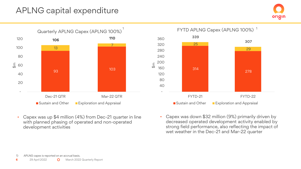#### APLNG capital expenditure







- Capex was up \$4 million (4%) from Dec-21 quarter in line with planned phasing of operated and non-operated development activities
- Capex was down \$32 million (9%) primarily driven by decreased operated development activity enabled by strong field performance, also reflecting the impact of wet weather in the Dec-21 and Mar-22 quarter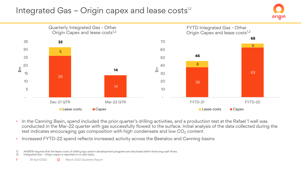### Integrated Gas - Origin capex and lease costs $^{\text{12}}$





- In the Canning Basin, spend included the prior quarter's drilling activities, and a production test at the Rafael 1 well was conducted in the Mar-22 quarter with gas successfully flowed to the surface. Initial analysis of the data collected during the test indicates encouraging gas composition with high condensate and low  $CO<sub>2</sub>$  content
- Increased FYTD-22 spend reflects increased activity across the Beetaloo and Canning basins

1) AASB16 requires that the lease costs of drilling rigs used in development programs are disclosed within financing cash flows.

Integrated Gas - Origin capex is reported on a cash basis.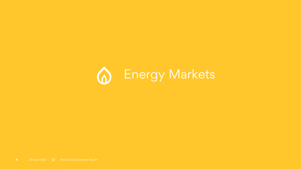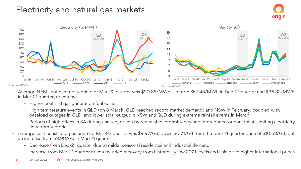### Electricity and natural gas markets



- Average NEM spot electricity price for Mar-22 quarter was \$90.88/MWh, up from \$57.45/MWh in Dec-21 quarter and \$36.32/MWh in Mar-21 quarter, driven by:
	- Higher coal and gas generation fuel costs
	- High temperature events in QLD (on 8 March, QLD reached record market demand) and NSW in February, coupled with baseload outages in QLD, and lower solar output in NSW and QLD during extreme rainfall events in March.
	- Periods of high prices in SA during January driven by renewable intermittency and interconnector constraints limiting electricity flow from Victoria
- Average east coast spot gas price for Mar-22 quarter was \$9.97/GJ, down \$0.71/GJ from the Dec-21 quarter price of \$10.68/GJ, but an increase from \$3.90/GJ in Mar-21 quarter:
	- Decrease from Dec-21 quarter due to milder seasonal residential and industrial demand
	- Increase from Mar-21 quarter driven by price recovery from historically low 2021 levels and linkage to higher international prices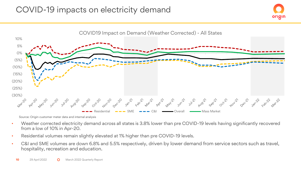



Source: Origin customer meter data and internal analysis

- Weather corrected electricity demand across all states is 3.8% lower than pre COVID-19 levels having significantly recovered from a low of 10% in Apr-20.
- Residential volumes remain slightly elevated at 1% higher than pre COVID-19 levels.
- C&I and SME volumes are down 6.8% and 5.5% respectively, driven by lower demand from service sectors such as travel, hospitality, recreation and education.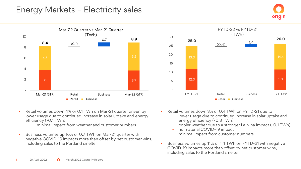#### Energy Markets – Electricity sales



- Retail volumes down 4% or 0.1 TWh on Mar-21 quarter driven by lower usage due to continued increase in solar uptake and energy efficiency (-0.1 TWh);
	- minimal impact from weather and customer numbers
- Business volumes up 16% or 0.7 TWh on Mar-21 quarter with negative COVID-19 impacts more than offset by net customer wins, including sales to the Portland smelter



- Retail volumes down 3% or 0.4 TWh on FYTD-21 due to
	- lower usage due to continued increase in solar uptake and energy efficiency (-0.3 TWh)
	- cooler weather due to a stronger La Nina impact (-0.1 TWh)
	- no material COVID-19 impact
	- minimal impact from customer numbers
- Business volumes up 11% or 1.4 TWh on FYTD-21 with negative COVID-19 impacts more than offset by net customer wins, including sales to the Portland smelter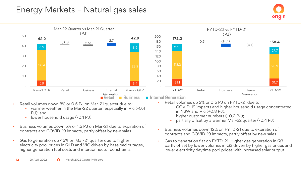#### Energy Markets – Natural gas sales



- Retail volumes down 8% or 0.5 PJ on Mar-21 quarter due to:
	- warmer weather in the Mar-22 quarter, especially in Vic (-0.4 PJ); and
	- lower household usage (-0.1 PJ)
- Business volumes down 5% or 1.5 PJ on Mar-21 due to expiration of contracts and COVID-19 impacts, partly offset by new sales
- Gas to generation up 46% on Mar-21 quarter due to higher electricity pool prices in QLD and VIC driven by baseload outages, higher generation fuel costs and interconnector constraints
- Retail volumes up 2% or 0.6 PJ on FYTD-21 due to:
	- COVID-19 impacts and higher household usage concentrated in NSW and Vic (+0.8 PJ);

- higher customer numbers (+0.2 PJ);
- partially offset by a warmer Mar-22 quarter (-0.4 PJ)
- Business volumes down 12% on FYTD-21 due to expiration of contracts and COVID-19 impacts, partly offset by new sales
- Gas to generation flat on FYTD-21. Higher gas generation in Q3 partly offset by lower volumes in Q2 driven by higher gas prices and lower electricity daytime pool prices with increased solar output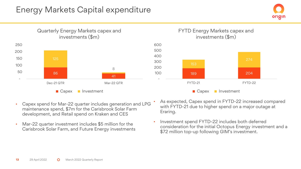#### Energy Markets Capital expenditure





- Capex spend for Mar-22 quarter includes generation and LPG maintenance spend, \$7m for the Carisbrook Solar Farm development, and Retail spend on Kraken and CES
- Mar-22 quarter investment includes \$5 million for the Carisbrook Solar Farm, and Future Energy investments
- As expected, Capex spend in FYTD-22 increased compared with FYTD-21 due to higher spend on a major outage at Eraring.
- Investment spend FYTD-22 includes both deferred consideration for the initial Octopus Energy investment and a \$72 million top-up following GIM's investment.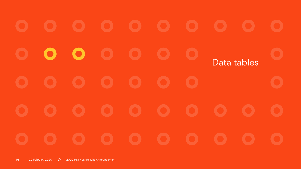$\bullet$ D. Data tables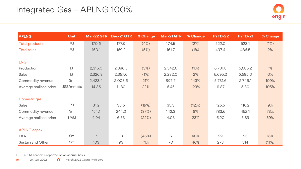| <b>APLNG</b>             | <b>Unit</b>       | Mar-22 QTR     | Dec-21 QTR | % Change | Mar-21 QTR | % Change | <b>FYTD-22</b> | <b>FYTD-21</b> | % Change |
|--------------------------|-------------------|----------------|------------|----------|------------|----------|----------------|----------------|----------|
| Total production         | PJ                | 170.6          | 177.9      | (4%)     | 174.5      | (2%)     | 522.0          | 528.1          | (1%)     |
| <b>Total sales</b>       | PJ                | 160.1          | 169.2      | (5%)     | 161.7      | (1%)     | 497.4          | 486.5          | 2%       |
|                          |                   |                |            |          |            |          |                |                |          |
| <b>LNG</b>               |                   |                |            |          |            |          |                |                |          |
| Production               | kt                | 2,315.0        | 2,386.5    | (3%)     | 2,342.6    | (1%)     | 6,731.8        | 6,686.2        | $1\%$    |
| Sales                    | kt                | 2,326.3        | 2,357.6    | (1%)     | 2,282.0    | 2%       | 6,695.2        | 6,685.0        | O%       |
| Commodity revenue        | \$m\$             | 2,423.4        | 2,003.6    | 21%      | 997.7      | 143%     | 5,731.6        | 2,746.1        | 109%     |
| Average realised price   | US\$/mmbtu        | 14.36          | 11.80      | 22%      | 6.45       | 123%     | 11.87          | 5.80           | 105%     |
|                          |                   |                |            |          |            |          |                |                |          |
| Domestic gas             |                   |                |            |          |            |          |                |                |          |
| Sales                    | PJ                | 31.2           | 38.6       | (19%)    | 35.3       | (12%)    | 126.5          | 116.2          | 9%       |
| Commodity revenue        | \$m               | 154.1          | 244.2      | (37%)    | 142.3      | 8%       | 783.6          | 452.1          | 73%      |
| Average realised price   | $\frac{1}{2}$ /GJ | 4.94           | 6.33       | (22%)    | 4.03       | 23%      | 6.20           | 3.89           | 59%      |
|                          |                   |                |            |          |            |          |                |                |          |
| APLNG capex <sup>1</sup> |                   |                |            |          |            |          |                |                |          |
| E&A                      | \$m\$             | $\overline{7}$ | 13         | (46%)    | 5          | 40%      | 29             | 25             | 16%      |
| Sustain and Other        | \$m\$             | 103            | 93         | 11%      | 70         | 46%      | 278            | 314            | (11%)    |

1) APLNG capex is reported on an accrual basis.

15 29 April 2022 **O** March 2022 Quarterly Report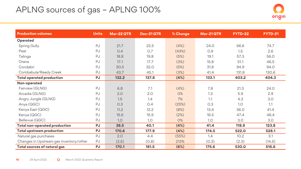### APLNG sources of gas – APLNG 100%



| <b>Production volumes</b>               | <b>Units</b> | <b>Mar-22 QTR</b> | <b>Dec-21QTR</b> | % Change | Mar-21 QTR | <b>FYTD-22</b> | <b>FYTD-21</b> |
|-----------------------------------------|--------------|-------------------|------------------|----------|------------|----------------|----------------|
| Operated                                |              |                   |                  |          |            |                |                |
| Spring Gully                            | PJ           | 21.7              | 22.5             | (4%)     | 24.0       | 66.6           | 74.7           |
| Peat                                    | PJ           | O.4               | 0.7              | (43%)    | 0.9        | 1.5            | 2.6            |
| Talinga                                 | PJ           | 18.8              | 19.8             | (5%)     | 19.1       | 57.3           | 56.0           |
| Orana                                   | PJ           | 17.1              | 17.7             | (3%)     | 15.8       | 51.1           | 46.5           |
| Condabri                                | PJ           | 30.5              | 32.0             | (5%)     | 31.8       | 94.9           | 94.0           |
| Combabula/Reedy Creek                   | PJ           | 43.7              | 45.1             | (3%)     | 41.4       | 131.8          | 130.6          |
| <b>Total operated production</b>        | <b>PJ</b>    | 132.2             | 137.8            | (4%)     | 133.1      | 403.2          | 404.3          |
| Non-operated                            |              |                   |                  |          |            |                |                |
| Fairview (GLNG)                         | PJ           | 6.8               | 7.1              | (4%)     | 7.8        | 21.3           | 24.0           |
| Arcadia (GLNG)                          | PJ           | 2.0               | 2.0              | 0%       | 1.3        | 5.9            | 2.9            |
| Angry Jungle (GLNG)                     | PJ           | 1.5               | 1.4              | 7%       | 1.1        | 4.3            | 3.0            |
| Anya (QGC)                              | PJ           | 0.3               | O.4              | (25%)    | 0.3        | 1.0            | 1.1            |
| Kenya East (QGC)                        | PJ           | 11.2              | 12.2             | (8%)     | 13.4       | 36.0           | 41.4           |
| Kenya (QGC)                             | PJ           | 15.6              | 15.9             | (2%)     | 16.5       | 47.4           | 48.4           |
| Bellevue (QGC)                          | PJ           | 1.0               | 1.0              | 0%       | 1.0        | 3.0            | 3.0            |
| Total non-operated production           | <b>PJ</b>    | 38.5              | 40.1             | (4%)     | 41.4       | 118.9          | 123.8          |
| <b>Total upstream production</b>        | <b>PJ</b>    | 170.6             | 177.9            | (4%)     | 174.5      | 522.0          | 528.1          |
| Natural gas purchases                   | PJ           | 2.0               | 4.4              | (55%)    | 1.4        | 10.2           | 3.1            |
| Changes in Upstream gas inventory/other | PJ           | (2.5)             | (0.8)            | 213%     | (0.3)      | (2.3)          | (14.5)         |
| <b>Total sources of natural gas</b>     | <b>PJ</b>    | 170.1             | 181.5            | (6%)     | 175.6      | 530.0          | 516.6          |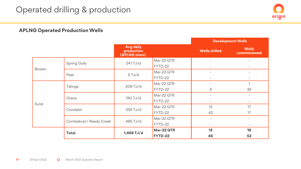#### **APLNG Operated Production Wells**

|                         |              |                                                 |            |                          | <b>Development Wells</b>     |
|-------------------------|--------------|-------------------------------------------------|------------|--------------------------|------------------------------|
|                         |              | <b>Avg daily</b><br>production<br>(APLNG share) |            | <b>Wells drilled</b>     | <b>Wells</b><br>commissioned |
|                         | Spring Gully | 241 TJ/d                                        | Mar-22 QTR |                          | $\overline{\phantom{a}}$     |
| Bowen                   |              |                                                 | FYTD-22    | $\overline{\phantom{a}}$ | $\overline{\phantom{0}}$     |
|                         | Peat         | $5$ TJ/d                                        | Mar-22 QTR | $\overline{\phantom{a}}$ | $\overline{\phantom{a}}$     |
|                         |              |                                                 | FYTD-22    | $\overline{\phantom{a}}$ | $\overline{\phantom{a}}$     |
|                         | Talinga      | 209 TJ/d                                        | Mar-22 QTR |                          | $\overline{ }$               |
|                         |              |                                                 | FYTD-22    | 4                        | 35                           |
|                         | Orana        | 190 TJ/d                                        | Mar-22 QTR |                          | $\overline{\phantom{a}}$     |
| Surat                   |              |                                                 | FYTD-22    | $\overline{\phantom{a}}$ | $\overline{\phantom{a}}$     |
|                         | Condabri     | 339 TJ/d                                        | Mar-22 QTR | 12                       | 17                           |
|                         |              |                                                 | FYTD-22    | 42                       | 17                           |
|                         |              | 485 TJ/d                                        | Mar-22 QTR |                          | $\overline{\phantom{0}}$     |
| Combabula / Reedy Creek |              |                                                 | FYTD-22    | $\overline{\phantom{a}}$ | $\overline{\phantom{a}}$     |
|                         |              | 1,468 TJ/d                                      | Mar-22 QTR | 12                       | 18                           |
|                         | Total        |                                                 | FYTD-22    | 46                       | 52                           |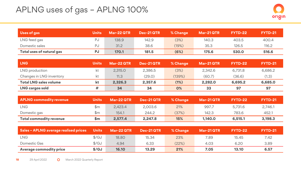### APLNG uses of gas – APLNG 100%



| Uses of gas               | <b>Units</b> | <b>Mar-22 QTR</b> | <b>Dec-21QTR</b> | % Change | $Mar-21 QTR$ | FYTD-22 | <b>FYTD-21</b> |
|---------------------------|--------------|-------------------|------------------|----------|--------------|---------|----------------|
| LNG feed gas              | PJ           | 138.9             | 142.9            | (3%)     | 140.3        | 403.5   | 400.4          |
| Domestic sales            | PJ           | 31.2              | 38.6             | (19%)    | 35.3         | 126.5   | 116.2          |
| Total uses of natural gas | PJ           | 170.1             | 181.5            | (6%)     | 175.6        | 530.0   | 516.6          |

| <b>LNG</b>                    | <b>Units</b> | Mar-22 QTR | Dec-21 QTR ! | % Change | Mar-21 QTR | FYTD-22 | <b>FYTD-21</b> |
|-------------------------------|--------------|------------|--------------|----------|------------|---------|----------------|
| LNG production                | kt           | 2.315.0    | 2.386.5      | (3%)     | 2.342.6    | 6.731.8 | 6,686.2        |
| Changes in LNG inventory      | kt           | 11.3       | (29.0)       | (139%)   | (60.7)     | (36.6)  | (1.3)          |
| <b>Total LNG sales volume</b> | kt           | 2.326.3    | 2.357.6      | (1%)     | 2.282.0    | 6.695.2 | 6,685.0        |
| <b>LNG cargos sold</b>        | #            | 34         | 34           | O%       | 33         | 97      | 97             |

| <b>APLNG commodity revenue</b> | <b>Units</b> | Mar-22 QTR | $\blacksquare$ Dec-21 QTR $\blacksquare$ | % Change | Mar-21 QTR | FYTD-22 | <b>FYTD-21</b> |
|--------------------------------|--------------|------------|------------------------------------------|----------|------------|---------|----------------|
| <b>LNG</b>                     | \$m          | 2.423.4    | 2.003.6                                  | 21%      | 997.7      | 5.731.6 | 2,746.1        |
| Domestic gas                   | \$m          | 154.1      | 244.2                                    | (37%)    | 142.3      | 783.6   | 452.1          |
| Total commodity revenue        | \$m          | 2.577.4    | 2.247.8                                  | 15%      | 1,140.0    | 6,515.1 | 3.198.3        |

| <b>Sales - APLNG average realised prices</b> | <b>Units</b>  | Mar-22 QTR | Dec-21QTR | % Change | Mar-21 QTR | FYTD-22 | <b>FYTD-21</b> |
|----------------------------------------------|---------------|------------|-----------|----------|------------|---------|----------------|
| <b>LNG</b>                                   | $\frac{f}{G}$ | 18.80      | 15.34     | 23%      | 7.89       | 15.45   | 7.42           |
| Domestic Gas                                 | $\frac{f}{G}$ | 4.94       | 6.33      | (22%)    | 4.03       | 6.20    | 3.89           |
| Average commodity price                      | \$/GJ         | 16.10      | 13.29     | 21%      | 7.05       | 13.10   | 6.57           |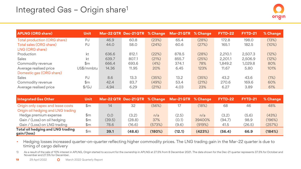#### Integrated Gas – Origin share<sup>1</sup>

| <b>APLNG (ORG share)</b>     | <b>Unit</b>    |       |       |       | Mar-22 QTR Dec-21 QTR % Change Mar-21 QTR % Change |       | FYTD-22 | <b>FYTD-21</b> | % Change |
|------------------------------|----------------|-------|-------|-------|----------------------------------------------------|-------|---------|----------------|----------|
| Total production (ORG share) | PJ             | 46.9  | 60.8  | (23%) | 65.4                                               | (28%) | 172.8   | 198.0          | (13%)    |
| Total sales (ORG share)      | PJ             | 44.0  | 58.0  | (24%) | 60.6                                               | (27%) | 165.1   | 182.5          | (10%)    |
| LNG (ORG share)              |                |       |       |       |                                                    |       |         |                |          |
| Production                   | kt             | 636.6 | 812.1 | (22%) | 878.5                                              | (28%) | 2.210.1 | 2.507.3        | (12%)    |
| <b>Sales</b>                 | kt             | 639.7 | 807.1 | (21%) | 855.7                                              | (25%) | 2.201.1 | 2.506.9        | (12%)    |
| Commodity revenue            | \$m            | 666.4 | 693.6 | (4%)  | 374.1                                              | 78%   | 1,849.2 | 1,029.8        | 80%      |
| Average realised price       | US\$/mmbtu     | 14.36 | 11.95 | 20%   | 6.45                                               | 123%  | 11.67   | 5.80           | 101%     |
| Domestic gas (ORG share)     |                |       |       |       |                                                    |       |         |                |          |
| <b>Sales</b>                 | PJ             | 8.6   | 13.3  | (35%) | 13.2                                               | (35%) | 43.2    | 43.6           | (1%)     |
| Commodity revenue            | $\mathbb{S}$ m | 42.4  | 83.7  | (49%) | 53.4                                               | (21%) | 270.6   | 169.6          | 60%      |
| Average realised price       | $\frac{f}{G}$  | 4.94  | 6.29  | (21%) | 4.03                                               | 23%   | 6.27    | 3.89           | 61%      |

| <b>Integrated Gas Other</b>                             | Unit           |        | Mar-22 QTR Dec-21 QTR % Change |        | Mar-21 QTR % Change |        | FYTD-22 | FYTD-21 | % Change |
|---------------------------------------------------------|----------------|--------|--------------------------------|--------|---------------------|--------|---------|---------|----------|
| Origin only capex and lease costs                       | \$m            | 14     | 32                             | (56%)  |                     | (18%)  | 68      | 46      | 48%      |
| Origin oil hedging and LNG trading                      |                |        |                                |        |                     |        |         |         |          |
| Hedge premium expense                                   | \$m            | 0.0    | (3.2)                          | n/a    | (2.5)               | n/a    | (3.2)   | (5.6)   | (43%)    |
| Gain / (Loss) on oil hedging                            | $\mathbb{S}$ m | (39.5) | (28.8)                         | 37%    | (0.1)               | 39400% | (94.7)  | 98.9    | (196%)   |
| Gain / (Loss) on LNG trading                            | $\mathsf{Sm}$  | 78.6   | (16.6)                         | (573%) | (9.6)               | (919%) | 41.5    | (26.5)  | (257%)   |
| <b>Total oil hedging and LNG trading</b><br>gain/(loss) | \$m            | 39.1   | (48.6)                         | (180%) | (12.1)              | (423%) | (56.4)  | 66.9    | (184%)   |

• Hedging losses increased quarter-on-quarter reflecting higher commodity prices. The LNG trading gain in the Mar-22 quarter is due to timing of cargo delivery

1) As a result of the sale of 10% interest in APLNG, Origin started to account for the ownership in APLNG at 27.5% from 8 December 2021. The data shown for the Dec-21 quarter represents 37.5% for October and November and 27.5% for December.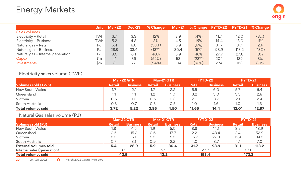|                                   | Unit | <b>Mar-22</b> | <b>Dec-21</b> | % Change | <b>Mar-21</b> |       |      |       | <b>% Change FYTD-22 FYTD-21 % Change</b> |
|-----------------------------------|------|---------------|---------------|----------|---------------|-------|------|-------|------------------------------------------|
| Sales volumes                     |      |               |               |          |               |       |      |       |                                          |
| Electricity - Retail              | ™h   | 3.7           | 3.3           | 12%      | 3.9           | (4%)  | 11.7 | 12.0  | (3%)                                     |
| Electricity - Business            | TWh  | 5.2           | 4.8           | 8%       | 4.5           | 16%   | 14.4 | 13.0  | 11%                                      |
| Natural gas - Retail              | PJ   | 5.4           | 8.8           | (38%)    | 5.9           | (8%)  | 31.7 | 31.1  | 2%                                       |
| Natural gas - Business            | PJ   | 28.9          | 33.4          | (13%)    | 30.4          | (5%)  | 98.9 | 113.2 | (13%)                                    |
| Natural gas - Internal generation | PJ   | 8.6           | 6.1           | 40%      | 5.9           | 46%   | 27.7 | 27.8  | O%                                       |
| Capex                             | \$m  | 41            | 86            | (52%)    | 53            | (23%) | 204  | 189   | 8%                                       |
| Investments                       | \$m  | 8             | 77            | (94%)    | 104           | (93%) | 274  | 153   | 80%                                      |

Electricity sales volume (TWh)

|                           | <b>Mar-22 QTR</b> |                 | <b>Mar-21 QTR</b> |                 | FYTD-22       |                 | <b>FYTD-21</b> |          |
|---------------------------|-------------------|-----------------|-------------------|-----------------|---------------|-----------------|----------------|----------|
| <b>Volumes sold (TWh)</b> | <b>Retail</b>     | <b>Business</b> | <b>Retail</b>     | <b>Business</b> | <b>Retail</b> | <b>Business</b> | Retail         | Business |
| New South Wales           | 1.7               | 2.1             |                   | 2.2             | 5.5           | 6.0             | 5.7            | 6.4      |
| Queensland                | 1.1               | 1.1             | 1.2               | 1.0             | 3.2           | 3.0             | 3.3            | 2.8      |
| Victoria                  | 0.6               | 1.3             | 0.6               | O.8             | 2.0           | 3.7             | 2.7            | 2.4      |
| South Australia           | 0.3               | 0.7             | 0.3               | 0.5             | 1.0           | 1.6             | 1.0            | 1.3      |
| Total volumes sold        | 3.72              | 5.22            | 3.86              | 4.50            | 11.65         | 14.4            | 12.01          | 12.97    |

Natural Gas sales volume (PJ)

|                             |               | <b>Mar-22 QTR</b> |               | Mar-21 QTR      |               | FYTD-22         | <b>FYTD-21</b> |                 |
|-----------------------------|---------------|-------------------|---------------|-----------------|---------------|-----------------|----------------|-----------------|
| <b>Volumes sold (PJ)</b>    | <b>Retail</b> | <b>Business</b>   | <b>Retail</b> | <b>Business</b> | <b>Retail</b> | <b>Business</b> | <b>Retail</b>  | <b>Business</b> |
| New South Wales             | 1.8           | 4.5               | 1.9           | 5.0             | 8.8           | 14.1            | 8.2            | 18.9            |
| Queensland                  | 0.6           | 15.2              | 0.6           | 17.7            | 2.2           | 48.4            | 2.4            | 52.9            |
| Victoria                    | 2.3           | 6.1               | 2.5           | 5.5             | 16.7          | 27.8            | 16.4           | 34.5            |
| South Australia             | 0.7           | 3.1               | 0.9           | 2.2             | 4.0           | 8.7             | 4.1            | 7.0             |
| External volumes sold       | 5.4           | 28.9              | 5.9           | 30.4            | 31.7          | 98.9            | 31.1           | 113.2           |
| Internal sales (generation) |               | 8.6               |               | 5.9             |               | 27.7            |                | 27.8            |
| <b>Total volumes sold</b>   | 42.9          |                   | 42.2          |                 | 158.4         |                 |                | 172.2           |

20 29 April 2022 **O** March 2022 Quarterly Report